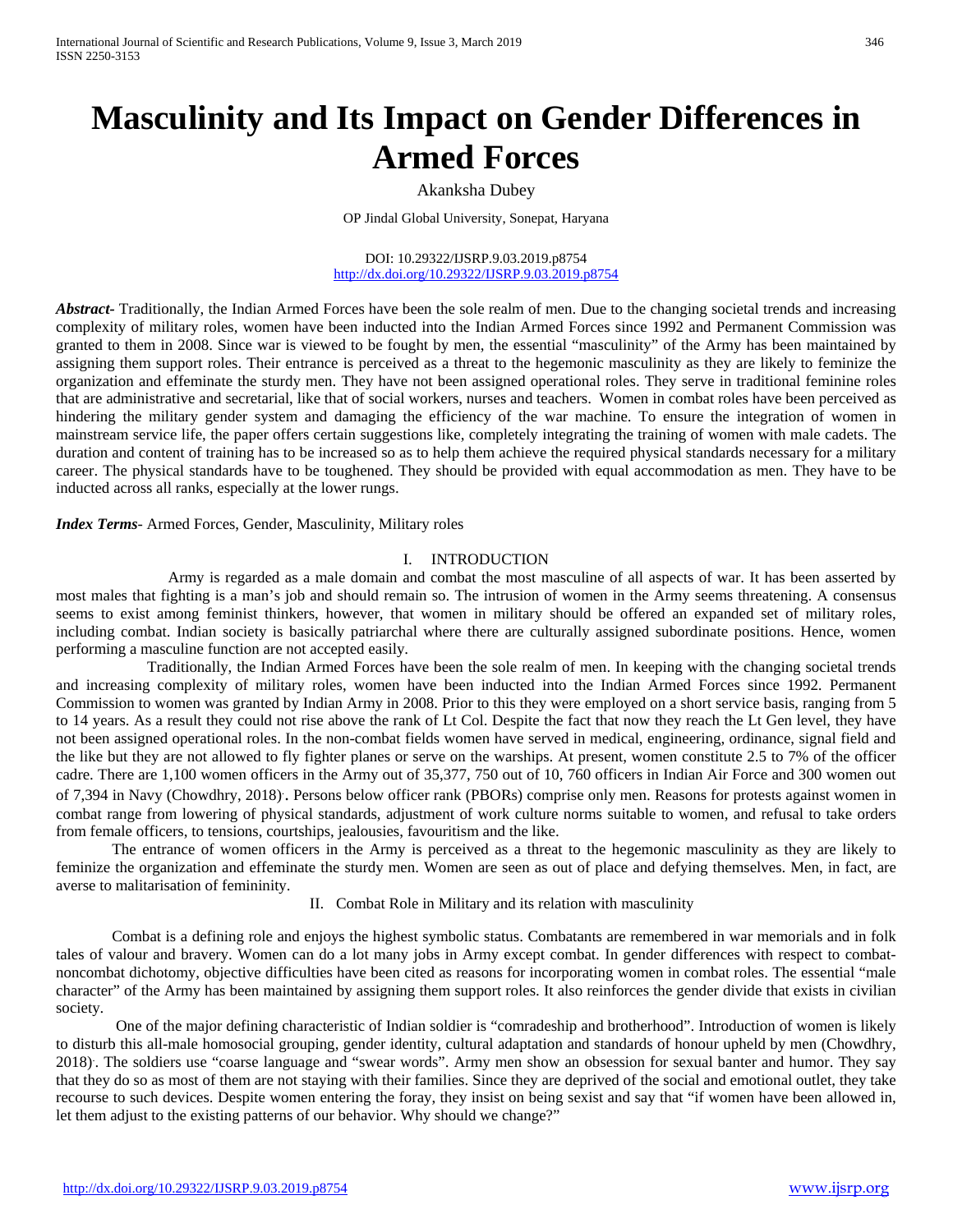# **Masculinity and Its Impact on Gender Differences in Armed Forces**

# Akanksha Dubey

OP Jindal Global University, Sonepat, Haryana

DOI: 10.29322/IJSRP.9.03.2019.p8754 <http://dx.doi.org/10.29322/IJSRP.9.03.2019.p8754>

*Abstract-* Traditionally, the Indian Armed Forces have been the sole realm of men. Due to the changing societal trends and increasing complexity of military roles, women have been inducted into the Indian Armed Forces since 1992 and Permanent Commission was granted to them in 2008. Since war is viewed to be fought by men, the essential "masculinity" of the Army has been maintained by assigning them support roles. Their entrance is perceived as a threat to the hegemonic masculinity as they are likely to feminize the organization and effeminate the sturdy men. They have not been assigned operational roles. They serve in traditional feminine roles that are administrative and secretarial, like that of social workers, nurses and teachers. Women in combat roles have been perceived as hindering the military gender system and damaging the efficiency of the war machine. To ensure the integration of women in mainstream service life, the paper offers certain suggestions like, completely integrating the training of women with male cadets. The duration and content of training has to be increased so as to help them achieve the required physical standards necessary for a military career. The physical standards have to be toughened. They should be provided with equal accommodation as men. They have to be inducted across all ranks, especially at the lower rungs.

*Index Terms*- Armed Forces, Gender, Masculinity, Military roles

### I. INTRODUCTION

Army is regarded as a male domain and combat the most masculine of all aspects of war. It has been asserted by most males that fighting is a man's job and should remain so. The intrusion of women in the Army seems threatening. A consensus seems to exist among feminist thinkers, however, that women in military should be offered an expanded set of military roles, including combat. Indian society is basically patriarchal where there are culturally assigned subordinate positions. Hence, women performing a masculine function are not accepted easily.

 Traditionally, the Indian Armed Forces have been the sole realm of men. In keeping with the changing societal trends and increasing complexity of military roles, women have been inducted into the Indian Armed Forces since 1992. Permanent Commission to women was granted by Indian Army in 2008. Prior to this they were employed on a short service basis, ranging from 5 to 14 years. As a result they could not rise above the rank of Lt Col. Despite the fact that now they reach the Lt Gen level, they have not been assigned operational roles. In the non-combat fields women have served in medical, engineering, ordinance, signal field and the like but they are not allowed to fly fighter planes or serve on the warships. At present, women constitute 2.5 to 7% of the officer cadre. There are 1,100 women officers in the Army out of 35,377, 750 out of 10, 760 officers in Indian Air Force and 300 women out of 7,394 in Navy (Chowdhry, 2018). . Persons below officer rank (PBORs) comprise only men. Reasons for protests against women in combat range from lowering of physical standards, adjustment of work culture norms suitable to women, and refusal to take orders from female officers, to tensions, courtships, jealousies, favouritism and the like.

The entrance of women officers in the Army is perceived as a threat to the hegemonic masculinity as they are likely to feminize the organization and effeminate the sturdy men. Women are seen as out of place and defying themselves. Men, in fact, are averse to malitarisation of femininity.

## II. Combat Role in Military and its relation with masculinity

Combat is a defining role and enjoys the highest symbolic status. Combatants are remembered in war memorials and in folk tales of valour and bravery. Women can do a lot many jobs in Army except combat. In gender differences with respect to combatnoncombat dichotomy, objective difficulties have been cited as reasons for incorporating women in combat roles. The essential "male character" of the Army has been maintained by assigning them support roles. It also reinforces the gender divide that exists in civilian society.

One of the major defining characteristic of Indian soldier is "comradeship and brotherhood". Introduction of women is likely to disturb this all-male homosocial grouping, gender identity, cultural adaptation and standards of honour upheld by men (Chowdhry, 2018). . The soldiers use "coarse language and "swear words". Army men show an obsession for sexual banter and humor. They say that they do so as most of them are not staying with their families. Since they are deprived of the social and emotional outlet, they take recourse to such devices. Despite women entering the foray, they insist on being sexist and say that "if women have been allowed in, let them adjust to the existing patterns of our behavior. Why should we change?"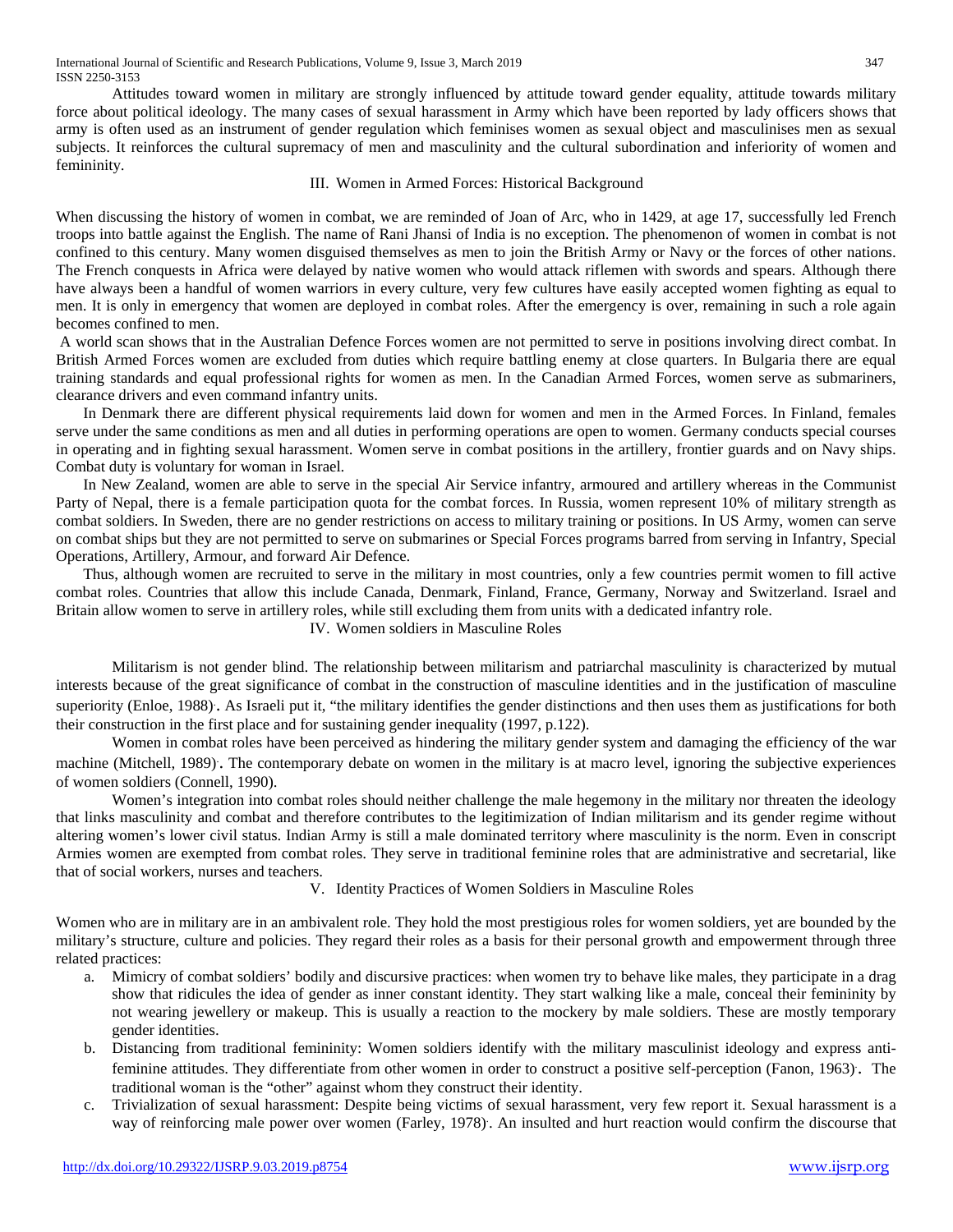Attitudes toward women in military are strongly influenced by attitude toward gender equality, attitude towards military force about political ideology. The many cases of sexual harassment in Army which have been reported by lady officers shows that army is often used as an instrument of gender regulation which feminises women as sexual object and masculinises men as sexual subjects. It reinforces the cultural supremacy of men and masculinity and the cultural subordination and inferiority of women and femininity.

## III. Women in Armed Forces: Historical Background

When discussing the history of women in combat, we are reminded of Joan of Arc, who in 1429, at age 17, successfully led French troops into battle against the English. The name of Rani Jhansi of India is no exception. The phenomenon of women in combat is not confined to this century. Many women disguised themselves as men to join the British Army or Navy or the forces of other nations. The French conquests in Africa were delayed by native women who would attack riflemen with swords and spears. Although there have always been a handful of women warriors in every culture, very few cultures have easily accepted women fighting as equal to men. It is only in emergency that women are deployed in combat roles. After the emergency is over, remaining in such a role again becomes confined to men.

A world scan shows that in the Australian Defence Forces women are not permitted to serve in positions involving direct combat. In British Armed Forces women are excluded from duties which require battling enemy at close quarters. In Bulgaria there are equal training standards and equal professional rights for women as men. In the Canadian Armed Forces, women serve as submariners, clearance drivers and even command infantry units.

 In Denmark there are different physical requirements laid down for women and men in the Armed Forces. In Finland, females serve under the same conditions as men and all duties in performing operations are open to women. Germany conducts special courses in operating and in fighting sexual harassment. Women serve in combat positions in the artillery, frontier guards and on Navy ships. Combat duty is voluntary for woman in Israel.

 In New Zealand, women are able to serve in the special Air Service infantry, armoured and artillery whereas in the Communist Party of Nepal, there is a female participation quota for the combat forces. In Russia, women represent 10% of military strength as combat soldiers. In Sweden, there are no gender restrictions on access to military training or positions. In US Army, women can serve on combat ships but they are not permitted to serve on submarines or Special Forces programs barred from serving in Infantry, Special Operations, Artillery, Armour, and forward Air Defence.

 Thus, although women are recruited to serve in the military in most countries, only a few countries permit women to fill active combat roles. Countries that allow this include Canada, Denmark, Finland, France, Germany, Norway and Switzerland. Israel and Britain allow women to serve in artillery roles, while still excluding them from units with a dedicated infantry role.

IV. Women soldiers in Masculine Roles

Militarism is not gender blind. The relationship between militarism and patriarchal masculinity is characterized by mutual interests because of the great significance of combat in the construction of masculine identities and in the justification of masculine superiority (Enloe, 1988). As Israeli put it, "the military identifies the gender distinctions and then uses them as justifications for both their construction in the first place and for sustaining gender inequality (1997, p.122).

Women in combat roles have been perceived as hindering the military gender system and damaging the efficiency of the war machine (Mitchell, 1989). . The contemporary debate on women in the military is at macro level, ignoring the subjective experiences of women soldiers (Connell, 1990).

Women's integration into combat roles should neither challenge the male hegemony in the military nor threaten the ideology that links masculinity and combat and therefore contributes to the legitimization of Indian militarism and its gender regime without altering women's lower civil status. Indian Army is still a male dominated territory where masculinity is the norm. Even in conscript Armies women are exempted from combat roles. They serve in traditional feminine roles that are administrative and secretarial, like that of social workers, nurses and teachers.

# V. Identity Practices of Women Soldiers in Masculine Roles

Women who are in military are in an ambivalent role. They hold the most prestigious roles for women soldiers, yet are bounded by the military's structure, culture and policies. They regard their roles as a basis for their personal growth and empowerment through three related practices:

- a. Mimicry of combat soldiers' bodily and discursive practices: when women try to behave like males, they participate in a drag show that ridicules the idea of gender as inner constant identity. They start walking like a male, conceal their femininity by not wearing jewellery or makeup. This is usually a reaction to the mockery by male soldiers. These are mostly temporary gender identities.
- b. Distancing from traditional femininity: Women soldiers identify with the military masculinist ideology and express antifeminine attitudes. They differentiate from other women in order to construct a positive self-perception (Fanon, 1963). . The traditional woman is the "other" against whom they construct their identity.
- c. Trivialization of sexual harassment: Despite being victims of sexual harassment, very few report it. Sexual harassment is a way of reinforcing male power over women (Farley, 1978). . An insulted and hurt reaction would confirm the discourse that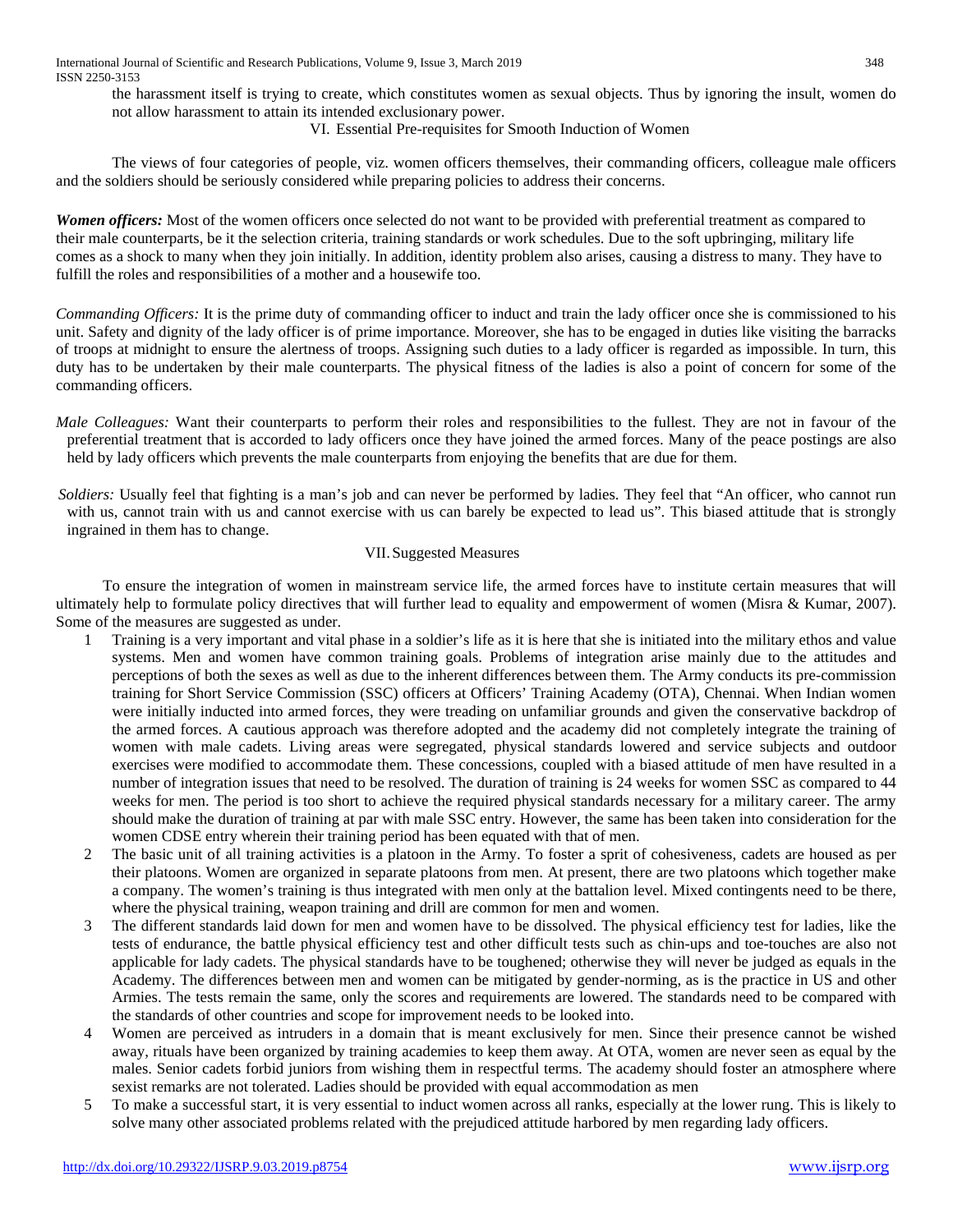the harassment itself is trying to create, which constitutes women as sexual objects. Thus by ignoring the insult, women do not allow harassment to attain its intended exclusionary power.

# VI. Essential Pre-requisites for Smooth Induction of Women

The views of four categories of people, viz. women officers themselves, their commanding officers, colleague male officers and the soldiers should be seriously considered while preparing policies to address their concerns.

*Women officers:* Most of the women officers once selected do not want to be provided with preferential treatment as compared to their male counterparts, be it the selection criteria, training standards or work schedules. Due to the soft upbringing, military life comes as a shock to many when they join initially. In addition, identity problem also arises, causing a distress to many. They have to fulfill the roles and responsibilities of a mother and a housewife too.

*Commanding Officers:* It is the prime duty of commanding officer to induct and train the lady officer once she is commissioned to his unit. Safety and dignity of the lady officer is of prime importance. Moreover, she has to be engaged in duties like visiting the barracks of troops at midnight to ensure the alertness of troops. Assigning such duties to a lady officer is regarded as impossible. In turn, this duty has to be undertaken by their male counterparts. The physical fitness of the ladies is also a point of concern for some of the commanding officers.

- *Male Colleagues:* Want their counterparts to perform their roles and responsibilities to the fullest. They are not in favour of the preferential treatment that is accorded to lady officers once they have joined the armed forces. Many of the peace postings are also held by lady officers which prevents the male counterparts from enjoying the benefits that are due for them.
- *Soldiers:* Usually feel that fighting is a man's job and can never be performed by ladies. They feel that "An officer, who cannot run with us, cannot train with us and cannot exercise with us can barely be expected to lead us". This biased attitude that is strongly ingrained in them has to change.

# VII.Suggested Measures

 To ensure the integration of women in mainstream service life, the armed forces have to institute certain measures that will ultimately help to formulate policy directives that will further lead to equality and empowerment of women (Misra & Kumar, 2007). Some of the measures are suggested as under.

- 1 Training is a very important and vital phase in a soldier's life as it is here that she is initiated into the military ethos and value systems. Men and women have common training goals. Problems of integration arise mainly due to the attitudes and perceptions of both the sexes as well as due to the inherent differences between them. The Army conducts its pre-commission training for Short Service Commission (SSC) officers at Officers' Training Academy (OTA), Chennai. When Indian women were initially inducted into armed forces, they were treading on unfamiliar grounds and given the conservative backdrop of the armed forces. A cautious approach was therefore adopted and the academy did not completely integrate the training of women with male cadets. Living areas were segregated, physical standards lowered and service subjects and outdoor exercises were modified to accommodate them. These concessions, coupled with a biased attitude of men have resulted in a number of integration issues that need to be resolved. The duration of training is 24 weeks for women SSC as compared to 44 weeks for men. The period is too short to achieve the required physical standards necessary for a military career. The army should make the duration of training at par with male SSC entry. However, the same has been taken into consideration for the women CDSE entry wherein their training period has been equated with that of men.
- 2 The basic unit of all training activities is a platoon in the Army. To foster a sprit of cohesiveness, cadets are housed as per their platoons. Women are organized in separate platoons from men. At present, there are two platoons which together make a company. The women's training is thus integrated with men only at the battalion level. Mixed contingents need to be there, where the physical training, weapon training and drill are common for men and women.
- 3 The different standards laid down for men and women have to be dissolved. The physical efficiency test for ladies, like the tests of endurance, the battle physical efficiency test and other difficult tests such as chin-ups and toe-touches are also not applicable for lady cadets. The physical standards have to be toughened; otherwise they will never be judged as equals in the Academy. The differences between men and women can be mitigated by gender-norming, as is the practice in US and other Armies. The tests remain the same, only the scores and requirements are lowered. The standards need to be compared with the standards of other countries and scope for improvement needs to be looked into.
- 4 Women are perceived as intruders in a domain that is meant exclusively for men. Since their presence cannot be wished away, rituals have been organized by training academies to keep them away. At OTA, women are never seen as equal by the males. Senior cadets forbid juniors from wishing them in respectful terms. The academy should foster an atmosphere where sexist remarks are not tolerated. Ladies should be provided with equal accommodation as men
- 5 To make a successful start, it is very essential to induct women across all ranks, especially at the lower rung. This is likely to solve many other associated problems related with the prejudiced attitude harbored by men regarding lady officers.